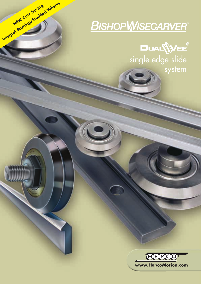# **BISHOPWISECARVER**

**NEW Cost Saving Integral Bushing/Studded Wheels**

single edge slide **\\VEE**<br>|e slide<br>system

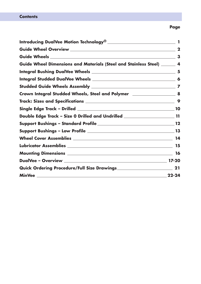|                                                                                    | 3         |
|------------------------------------------------------------------------------------|-----------|
| Guide Wheel Dimensions and Materials (Steel and Stainless Steel) ______ 4          |           |
|                                                                                    | 5         |
|                                                                                    |           |
|                                                                                    |           |
| Crown Integral Studded Wheels, Steel and Polymer _______________________________ 8 |           |
|                                                                                    | -9        |
|                                                                                    |           |
| Double Edge Track - Size 0 Drilled and Undrilled _______________________________11 |           |
|                                                                                    |           |
|                                                                                    |           |
|                                                                                    |           |
|                                                                                    | 15        |
|                                                                                    |           |
|                                                                                    |           |
|                                                                                    |           |
|                                                                                    | $22 - 24$ |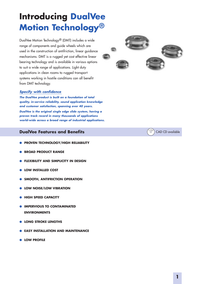## **Introducing DualVee Motion Technology®**

DualVee Motion Technology® (DMT) includes a wide range of components and guide wheels which are used in the construction of antifriction, linear guidance mechanisms. DMT is a rugged yet cost effective linear bearing technology and is available in various options to suit a wide range of applications. Light duty applications in clean rooms to rugged transport systems working in hostile conditions can all benefit from DMT technology.

## *Specify with confidence*

*The DualVee product is built on a foundation of total quality, in-service reliability, sound application knowledge and customer satisfaction, spanning over 40 years. DualVee is the original single edge slide system, having a proven track record in many thousands of applications world-wide across a broad range of industrial applications.*

## **DualVee Features and Benefits**

- **● PROVEN TECHNOLOGY/HIGH RELIABILITY**
- **BROAD PRODUCT RANGE**
- **FLEXIBILITY AND SIMPLICITY IN DESIGN**
- **● LOW INSTALLED COST**
- **SMOOTH, ANTIFRICTION OPERATION**
- **LOW NOISE/LOW VIBRATION**
- **● HIGH SPEED CAPACITY**
- **IMPERVIOUS TO CONTAMINATED ENVIRONMENTS**
- **● LONG STROKE LENGTHS**
- **EASY INSTALLATION AND MAINTENANCE**
- **● LOW PROFILE**



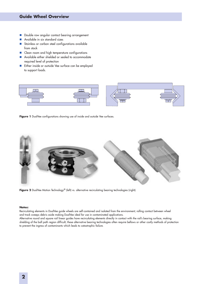## **Guide Wheel Overview**

- Double row angular contact bearing arrangement
- Available in six standard sizes
- Stainless or carbon steel configurations available from stock
- E Clean room and high temperature configurations
- Available either shielded or sealed to accommodate required level of protection
- Either inside or outside Vee surface can be employed to support loads.



Figure 1 DualVee configurations showing use of inside and outside Vee surfaces.



**Figure 2** DualVee Motion Technology® (left) vs. alternative recirculating bearing technologies (right).

#### **Notes:**

Recirculating elements in DualVee guide wheels are self-contained and isolated from the environment; rolling contact between wheel and track sweeps debris aside making DualVee ideal for use in contaminated applications.

Alternative round and square rail linear guides have recirculating elements directly in contact with the rail's bearing surface, making shielding of the ball path region difficult; these alternative bearing technologies often require bellows or other costly methods of protection to prevent the ingress of contaminants which leads to catastrophic failure.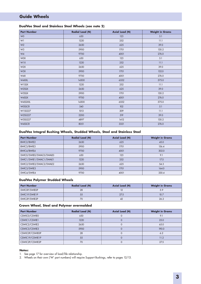## **Guide Wheels**

#### **DualVee Steel and Stainless Steel Wheels (see note 2)**

| <b>Part Number</b> | <b>Radial Load (N)</b> | <b>Axial Load (N)</b> | <b>Weight in Grams</b> |
|--------------------|------------------------|-----------------------|------------------------|
| W <sub>0</sub>     | 650                    | 123                   | 5.1                    |
| W1                 | 1220                   | 252                   | 11.1                   |
| W <sub>2</sub>     | 2650                   | 625                   | 39.0                   |
| W <sub>3</sub>     | 5900                   | 1701                  | 130.2                  |
| W4                 | 9700                   | 4001                  | 276.0                  |
| <b>WOX</b>         | 650                    | 123                   | 5.1                    |
| W1X                | 1220                   | 252                   | 11.1                   |
| W <sub>2</sub> X   | 2650                   | 625                   | 39.0                   |
| W3X                | 5900                   | 1701                  | 132.0                  |
| W4X                | 9700                   | 4001                  | 276.0                  |
| W4XXL              | 14300                  | 6552                  | 575.0                  |
| W1SSX              | 1220                   | 252                   | 11.1                   |
| W2SSX              | 2650                   | 625                   | 39.0                   |
| W3SSX              | 5900                   | 1701                  | 130.2                  |
| W4SSX              | 9700                   | 4001                  | 276.0                  |
| W4SSXXL            | 14300                  | 6552                  | 575.0                  |
| <b>WOSSCR</b>      | 540                    | 102                   | 5.1                    |
| W1SS227            | 1013                   | 209                   | 11.1                   |
| W2SS227            | 2200                   | 519                   | 39.0                   |
| W3SS227            | 4897                   | 1412                  | 130.2                  |
| W4SSCR             | 8051                   | 3321                  | 276.0                  |

#### **DualVee Integral Bushing Wheels, Studded Wheels, Steel and Stainless Steel**

| <b>Part Number</b>      | <b>Radial Load (N)</b> | <b>Axial Load (N)</b> | <b>Weight in Grams</b> |
|-------------------------|------------------------|-----------------------|------------------------|
| BWIC2/BWIE2             | 2650                   | 625                   | 45.0                   |
| BWIC3/BWIE3             | 5900                   | 1701                  | 156.4                  |
| BWIC4/BWIE4             | 9700                   | 4001                  | 302.0                  |
| SWIC0/SWIE0/SWAC0/SWAE0 | 650                    | 123                   | 9.1                    |
| SWIC1/SWIE1/SWAC1/SWAE1 | 1220                   | 252                   | 17.5                   |
| SWIC2/SWIE2/SWAC2/SWAE2 | 2650                   | 625                   | 54.3                   |
| SWIC3/SWIE3             | 5900                   | 1701                  | 164.0                  |
| SWIC4/SWIE4             | 9700                   | 4001                  | 330.4                  |

#### **DualVee Polymer Studded Wheels**

| <b>Part Number</b> | <b>Radial Load (N)</b> | <b>Axial Load (N)</b> | <b>Weight in Grams</b> |
|--------------------|------------------------|-----------------------|------------------------|
| SWICOP/SWIEOP      | 28                     |                       | 5.9                    |
| SWIC1P/SWIE1P      | 55                     | 27.5                  | 10.7                   |
| SWIC2P/SWIE2P      | 70                     | 42                    | 26.2                   |

#### **Crown Wheel, Steel and Polymer overmolded**

| <b>Part Number</b> | <b>Radial Load (N)</b> | <b>Axial Load (N)</b> | <b>Weight in Grams</b> |
|--------------------|------------------------|-----------------------|------------------------|
| CSWIC0/CSWIE0      | 650                    |                       | 9.1                    |
| CSWIC1/CSWIE1      | 1220                   |                       | 25.0                   |
| CSWIC2/CSWIE2      | 2650                   |                       | 65.0                   |
| CSWIC3/CSWIE3      | 5900                   |                       | 190.0                  |
| CSWIC0P/CSWIE0P    | 28                     |                       | 6.2                    |
| CSWIC1P/CSWIE1P    | 55                     |                       | 11.2                   |
| CSWIC2P/CSWIE2P    | 70                     |                       | 27.5                   |

#### **Notes:**

1. See page 17 for overview of load/life relationship.

2. Wheels on their own ('W' part numbers) will require Support Bushings, refer to pages 12/13.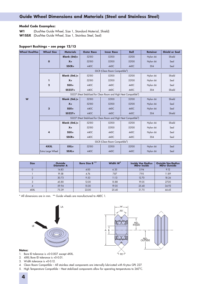## **Guide Wheel Dimensions and Materials (Steel and Stainless Steel)**

#### **Model Code Examples:**

**W1** (DualVee Guide Wheel, Size 1, Standard Material, Shield) **W1SSX** (DualVee Guide Wheel, Size 1, Stainless Steel, Seal)

#### **Support Bushings – see page 12/13**

| <b>Wheel DualVee</b> | <b>Wheel Size</b>                                                             | <b>Materials</b>    | <b>Outer Race</b> | <b>Inner Race</b>                          | <b>Ball</b> | <b>Retainer</b> | <b>Shield or Seal</b> |      |  |  |  |  |
|----------------------|-------------------------------------------------------------------------------|---------------------|-------------------|--------------------------------------------|-------------|-----------------|-----------------------|------|--|--|--|--|
|                      |                                                                               | <b>Blank (Std)=</b> | 52100             | 52100                                      | 52100       | Nylon 66        | Shield                |      |  |  |  |  |
|                      | $\mathbf{o}$                                                                  | $X =$               | 52100             | 52100                                      | 52100       | Nylon 66        | Seal                  |      |  |  |  |  |
|                      |                                                                               | $SSCR =$            | 440C              | 440C                                       | 440C        | 304             | Seal                  |      |  |  |  |  |
|                      | SSCR (Clean Room Compatible <sup>4</sup> )                                    |                     |                   |                                            |             |                 |                       |      |  |  |  |  |
|                      |                                                                               | Blank (Std.)=       | 52100             | 52100                                      | 52100       | Nylon 66        | Shield                |      |  |  |  |  |
|                      | ı                                                                             | $X =$               | 52100             | 52100                                      | 52100       | Nylon 66        | Seal                  |      |  |  |  |  |
|                      | $\mathbf{2}$                                                                  | $SSX =$             | 440C              | 440C                                       | 440C        | Nylon 66        | Seal                  |      |  |  |  |  |
|                      |                                                                               | $SS227=$            | 440C              | 440C                                       | 440C        | 304             | Shield                |      |  |  |  |  |
|                      | SS227 (Heat Stabilized for Clean Room and High Heat Compatible <sup>5</sup> ) |                     |                   |                                            |             |                 |                       |      |  |  |  |  |
| W                    |                                                                               | Blank (Std.)=       | 52100             | 52100                                      | 52100       | Nylon 66        | Shield                |      |  |  |  |  |
|                      | 3                                                                             |                     | $X =$             | 52100                                      | 52100       | 52100           | Nylon 66              | Seal |  |  |  |  |
|                      |                                                                               | $SSX =$             | 440C              | 440C                                       | 440C        | Nylon 66        | Seal                  |      |  |  |  |  |
|                      |                                                                               | $SS227=$            | 440C              | 440C                                       | 440C        | 304             | Shield                |      |  |  |  |  |
|                      | SS227 (Heat Stabilized for Clean Room and High Heat Compatible <sup>5</sup> ) |                     |                   |                                            |             |                 |                       |      |  |  |  |  |
|                      |                                                                               | Blank (Std.)=       | 52100             | 52100                                      | 52100       | Nylon 66        | Shield                |      |  |  |  |  |
|                      |                                                                               | $X =$               | 52100             | 52100                                      | 52100       | Nylon 66        | Seal                  |      |  |  |  |  |
|                      | 4                                                                             | $SSX =$             | 440C              | 440C                                       | 440C        | Nylon 66        | Seal                  |      |  |  |  |  |
|                      |                                                                               | $SSCR =$            | 440C              | 440C                                       | 440C        | 304             | Seal                  |      |  |  |  |  |
|                      |                                                                               |                     |                   | SSCR (Clean Room Compatible <sup>4</sup> ) |             |                 |                       |      |  |  |  |  |
|                      | 4XXL                                                                          | $XXL =$             | 52100             | 52100                                      | 52100       | Nylon 66        | Seal                  |      |  |  |  |  |
|                      | Extra Large Wheel                                                             | SSXL=               | 440C              | 440C                                       | 440C        | Nylon 66        | Seal                  |      |  |  |  |  |

| <b>Size</b> | <b>Outside</b><br><b>Diameter A</b> |       | Width $W3$ | <b>Inside Vee Radius</b><br><b>MDw Inside</b> | <b>Outside Vee Radius</b><br><b>MDw Outside</b> |
|-------------|-------------------------------------|-------|------------|-----------------------------------------------|-------------------------------------------------|
| $\mathbf 0$ | 14.83                               | 4.00  | 6.35       | 5.94                                          | 9.12                                            |
|             | 19.58                               | 4.76  | 7.87       | 7.95                                          | 11.89                                           |
|             | 30.73                               | 9.53  |            | 12.70                                         | 18.26<br>27.00                                  |
|             | 45.80                               |       | 15.88      | 19.05                                         |                                                 |
|             | 59.94                               | 15.00 | 19.05      | 25.40                                         | 34.93                                           |
| 4XXL        | 75.39                               | 22.00 | 25.40      | 31.75                                         | 44.45                                           |

\* All dimensions are in mm. \*\* Guide wheels are manufactured to ABEC 1.





- **Notes:**
- 1. Bore ID tolerance is +0-0.007. except 4XXL.
- 2. 4XXL Bore ID tolerance is +0-0.01.
- 3. Width tolerance is +0-0.12.
- 4. Clean Room Compatible All stainless steel components are internally lubricated with Krytox GPL 227.
- 5. High Temperature Compatible Heat stabilized components allow for operating temperatures to 260°C.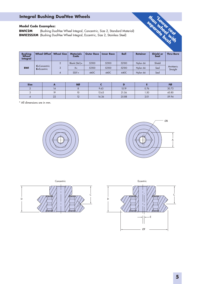## **Integral Bushing DualVee Wheels**

## **Model Code Examples:**

**BWIC2M** (Bushing DualVee Wheel Integral, Concentric, Size 2, Standard Material) **BWIE2SSXM** (Bushing DualVee Wheel Integral, Eccentric, Size 2, Stainless Steel)

| <b>Bushina</b><br>Wheel<br><b>Integral</b> | Wheel Offset                         | <b>Wheel Size</b> | <b>Materials</b><br>Code | <b>Outer Race</b> | <b>Inner Race</b> | <b>Ball</b> | <b>Retainer</b> | <b>Shield or</b><br>Seal | <b>Thru-Bore</b> |          |      |
|--------------------------------------------|--------------------------------------|-------------------|--------------------------|-------------------|-------------------|-------------|-----------------|--------------------------|------------------|----------|------|
| <b>BWI</b>                                 | $C =$ Concentric<br>$E = E$ ccentric |                   |                          | Blank $(Std.) =$  | 52100             | 52100       | 52100           | Nylon 66                 | Shield           |          |      |
|                                            |                                      |                   |                          |                   |                   | $X =$       | 52100           | 52100                    | 52100            | Nylon 66 | Seal |
|                                            |                                      |                   | 4                        | $SSX^1 =$         | 440C              | 440C        | 440C            | Nylon 66                 | Seal             |          |      |

| <b>Size</b> |                          | <b>BØ</b> |       |       |      | FØ    |
|-------------|--------------------------|-----------|-------|-------|------|-------|
|             | $\overline{\phantom{a}}$ |           | 9.63  | 15.19 | 0.76 | 30.73 |
|             | 10                       | 10        | 13.63 | 21.56 | 1.50 | 45.80 |
|             | $\Omega$<br>$L_{L}$      |           | 16.36 | 25.88 | 2.01 | 59.94 |

\* All dimensions are in mm.





th<sub>on</sub>

**by ear** 

**\*LowerSeparately Cost** 

 **with**

 **bush**



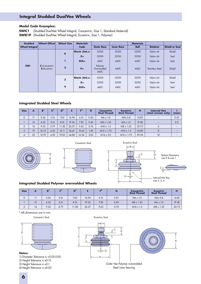## **Integral Studded DualVee Wheels**

#### **Model Code Examples:**

**SWIC1** (Studded DualVee Wheel Integral, Concentric, Size 1, Standard Material) **SWIE1P** (Studded DualVee Wheel Integral, Eccentric, Size 1, Polymer)

| <b>Studded</b>        | <b>Wheel Offset</b>                                                | <b>Wheel Size</b> | <b>Materials</b> |                               |                   | <b>Materials</b> |                 |                       |
|-----------------------|--------------------------------------------------------------------|-------------------|------------------|-------------------------------|-------------------|------------------|-----------------|-----------------------|
| <b>Wheel Integral</b> |                                                                    |                   | Code             | <b>Outer Race</b>             | <b>Inner Race</b> | <b>Ball</b>      | <b>Retainer</b> | <b>Shield or Seal</b> |
|                       | $\mathbf{o}$<br>C=Concentric<br>$\overline{2}$<br>$E = E$ ccentric | Blank (Std.)=     | 52100            | 52100                         | 52100             | Nylon 66         | Shield          |                       |
|                       |                                                                    |                   | $X =$            | 52100                         | 52100             | 52100            | Nylon 66        | Seal                  |
|                       |                                                                    |                   | $SSX =$          | 440C                          | 440C              | 440C             | Nylon 66        | Seal                  |
| <b>SWI</b>            |                                                                    |                   | $P =$            | Polymer<br>Overmolded<br>440C | 440C              | 440C             | Stainless Steel | Shield                |
|                       |                                                                    | 3                 | Blank $(Std.)=$  | 52100                         | 52100             | 52100            | Nylon 66        | Shield                |
|                       |                                                                    |                   | $X =$            | 52100                         | 52100             | 52100            | Nylon 66        | Seal                  |
|                       |                                                                    | 4                 | $SSX =$          | 440C                          | 440C              | 440C             | Nylon 66        | Seal                  |

#### **Integrated Studded Steel Wheels**

| <b>Size</b>    | A  | B <sup>1</sup> | $\mathcal{C}^2$ | $\mathbf{D}^3$ |       | F <sup>4</sup> | G    | <b>Concentric</b><br><b>Stud Thread</b> | <b>Eccentric</b><br><b>Stud Thread</b> |       | <b>Internal Hex</b><br>(steel version only) | (max) |
|----------------|----|----------------|-----------------|----------------|-------|----------------|------|-----------------------------------------|----------------------------------------|-------|---------------------------------------------|-------|
| $\mathbf 0$    |    | 5.56           | 2.16            | 7.62           | 16.94 | 6.15           | 0.45 | $M6 \times 1.0$                         | M5x0.8                                 | 14.83 |                                             | 0.43  |
|                | 12 | 6.35           | 2.16            | 8.10           | 19.34 | 7.30           | 0.60 | $M8 \times 1.25$<br>$M6 \times 1.0$     |                                        | 19.58 | -                                           | 0.5   |
| $\overline{2}$ | 14 | 9.53           | 2.79            | 11.38          | 26.57 | 9.63           | 0.76 | $M10 \times 1.5$                        | $M8 \times 1.25$                       | 30.73 | 6                                           |       |
| 3              | 19 | 10.72          | 4.32            | 15.11          | 36.67 | 13.63          | 1.49 | $M12 \times 1.75$                       | $M10 \times 1.5$                       | 45.80 | 8                                           |       |
| $\overline{4}$ | 22 | 12.70          | 4.50            | 19.00          | 44.88 | 16.36          | 2.00 | $M14 \times 2.0$                        | $M12 \times 1.75$                      | 59.94 | 10                                          |       |







#### **Integrated Studded Polymer overmolded Wheels**

| <b>Size</b> |    |      | $\mathbf{r}^2$ | D <sup>3</sup> |       | -4   |      | Concentric<br><b>Stud Thread</b> | <b>Eccentric</b><br><b>Stud Thread</b> | т     |
|-------------|----|------|----------------|----------------|-------|------|------|----------------------------------|----------------------------------------|-------|
| $\mathbf 0$ |    | 5.56 | 2.16           | 7.62           | 16.94 | 6.15 | 0.81 | $M6 \times 1.0$                  | M5x0.8                                 | 14.83 |
|             | 12 | 6.35 | 2.16           | 8.10           | 19.34 | 7.30 | 0.83 | $M8 \times 1.25$                 | $M6 \times 1.0$                        | 19.58 |
| $\Omega$    | 14 | 9.53 | 2.79           | 11.38          | 26.57 | 9.63 | 0.93 | $M10 \times 1.5$                 | $M8 \times 1.25$                       | 30.73 |

\* All dimensions are in mm.

Concentric Stud **Eccentric Stud Eccentric Stud** 



#### **Notes:**

1) Diameter Tolerance is +0.05-0.00 2) Height Tolerance is ±0.13 3) Height Tolerance is ±0.1

4) Height Tolerance is ±0.05





Outer Vee Polymer overmolded Steel inner bearing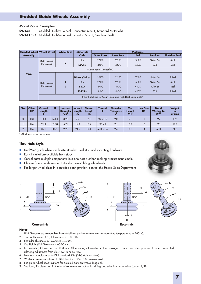## **Studded Guide Wheels Assembly**

#### **Model Code Examples:**

**SWAC1** (Studded DualVee Wheel, Concentric Size 1, Standard Materials) **SWAE1SSX** (Studded DualVee Wheel, Eccentric Size 1, Stainless Steel)

| <b>Studded Wheel Wheel Offset</b> |                                                                         | <b>Wheel Size</b> | <b>Materials</b>                              |                                |                                | <b>Materials</b>               |                                         |                                  |  |  |
|-----------------------------------|-------------------------------------------------------------------------|-------------------|-----------------------------------------------|--------------------------------|--------------------------------|--------------------------------|-----------------------------------------|----------------------------------|--|--|
| <b>Assembly</b>                   |                                                                         |                   | Code                                          | <b>Outer Race</b>              | <b>Inner Race</b>              | <b>Ball</b>                    | <b>Retainer</b>                         | <b>Shield or Seal</b>            |  |  |
|                                   | $C =$ Concentric                                                        |                   | $X =$                                         | 52100                          | 52100                          | 52100                          | Nylon 66                                | Seal                             |  |  |
|                                   | $E = E$ ccentric                                                        | $\mathbf{o}$      | $SSCR =$                                      | 440C                           | 440C                           | 440C                           | 304                                     | Seal                             |  |  |
|                                   |                                                                         |                   |                                               | (Clean Room Compatible)        |                                |                                |                                         |                                  |  |  |
| <b>SWA</b>                        | $C =$ Concentric<br>$E = E$ ccentric                                    | $\overline{2}$    | Blank (Std.)=<br>$X =$<br>$SSX =$<br>$SS227=$ | 52100<br>52100<br>440C<br>440C | 52100<br>52100<br>440C<br>440C | 52100<br>52100<br>440C<br>440C | Nylon 66<br>Nylon 66<br>Nylon 66<br>304 | Shield<br>Seal<br>Seal<br>Shield |  |  |
|                                   | (Heat Stabilized for Clean Room and High Heat Compatible <sup>1</sup> ) |                   |                                               |                                |                                |                                |                                         |                                  |  |  |

| <b>Size</b>    | <b>Offset</b><br>EC <sup>5</sup> | <b>Overall</b><br>Length | н     | Journal<br><b>Diameter</b><br>OD <sup>2</sup> | Journal<br>Length<br>JL | <b>Thread</b><br>Length<br>TL. | <b>Thread</b>    | <b>Shoulder</b><br><b>Thickness</b><br>$\epsilon$ <sup>3</sup> | <b>Vee</b><br><b>Height</b><br>VH <sup>4</sup> | <b>Hex Size</b><br><b>HS</b> | Nut &<br>Washer N,<br>$W^{6,7}$ | Weight<br><b>in</b><br>Grams |
|----------------|----------------------------------|--------------------------|-------|-----------------------------------------------|-------------------------|--------------------------------|------------------|----------------------------------------------------------------|------------------------------------------------|------------------------------|---------------------------------|------------------------------|
| $\Omega$       | 0.3                              | 18.8                     | 14.83 | 3.98                                          | 9.9                     | 6.1                            | $M4 \times 0.7$  | 2.0                                                            | 5.2                                            |                              | M <sub>4</sub>                  | 8.9                          |
|                | 0.4                              | 25.4                     | 19.58 | 5.97                                          | 15.0                    | 8.9                            | $M6 \times 1$    | 2.1                                                            | 6.0                                            | 12                           | M6                              | 19.8                         |
| $\overline{2}$ | 0.6                              | 39.1                     | 30.73 | 9.97                                          | 24.9                    | 15.0                           | $M10 \times 1.5$ | 2.6                                                            | 8.2                                            | 14                           | <b>M10</b>                      | 74.2                         |

\* All dimensions are in mm.

#### **Thru-Hole Style**

- DualVee<sup>®</sup> guide wheels with 416 stainless steel stud and mounting hardware
- **Easy installation/available from stock**
- Consolidates multiple components into one part number, making procurement simple
- Choose from a wide range of standard available guide wheels
- For larger wheel sizes in a studded configuration, contact the Hepco Sales Department



- 1. High Temperature compatible. Heat stabilized performance allows for operating temperatures to 260° C.
- 2. Journal Diameter (OD) Tolerance is +0.00-0.02.
- 3. Shoulder Thickness (S) Tolerance is ±0.03.
- 4. Vee Height (VH) Tolerance is ±0.05 mm.
- 5. Eccentricity (EC) Tolerance is ±0.13 mm. All mounting information in this catalogue assumes a central position of the eccentric stud allowing adjustment from plus "EC" to minus "EC".
- 6. Nuts are manufactured to DIN standard 934 (18-8 stainless steel).
- 7. Washers are manufactured to DIN standard 125 (18-8 stainless steel).
- 8. See guide wheel specifications for detailed data on wheels (page 4).
- 9. See load/life discussion in the technical reference section for sizing and selection information (page 17/18).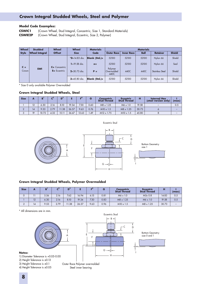## **Crown Integral Studded Wheels, Steel and Polymer**

#### **Model Code Examples:**

**CSWIC1** (Crown Wheel, Stud Integral, Concentric, Size 1, Standard Materials) **CSWIE2P** (Crown Wheel, Stud Integral, Eccentric, Size 2, Polymer)

| <b>Wheel</b>   | <b>Studded</b>        | <b>Wheel</b>     | <b>Wheel</b>      | <b>Materials</b> | <b>Materials</b>              |                   |             |                        |               |  |  |
|----------------|-----------------------|------------------|-------------------|------------------|-------------------------------|-------------------|-------------|------------------------|---------------|--|--|
| <b>Style</b>   | <b>Wheel Integral</b> | <b>Offset</b>    | <b>Size</b>       |                  | <b>Outer Race</b>             | <b>Inner Race</b> | <b>Ball</b> | <b>Retainer</b>        | <b>Shield</b> |  |  |
|                |                       |                  | $*0 = 14.83$ dia. | $Blank$ (Std.)=  | 52100                         | 52100             | 52100       | Nylon 66               | Shield        |  |  |
|                |                       | $C =$ Concentric | $1 = 19.58$ dia.  | $x =$            | 52100                         | 52100             | 52100       | Nylon 66               | Seal          |  |  |
| $C =$<br>Crown | <b>SWI</b>            | $E = Eccentric$  | $2 = 30.73$ dig.  | $P =$            | Polymer<br>Overmolded<br>440C | 440C              | 440C        | <b>Stainless Steel</b> | Shield        |  |  |
|                |                       |                  | $3 = 45.80$ dia.  | Blank (Std.)=    | 52100                         | 52100             | 52100       | Nylon 66               | Shield        |  |  |

\* Size 0 only available Polymer Overmolded

#### **Crown Integral Studded Wheels, Steel**

| <b>Size</b> |    | ы     | $\mathbf{r}^2$ | D <sup>3</sup> |       | E <sup>4</sup> |      | <b>Concentric</b><br><b>Stud Thread</b> | <b>Eccentric</b><br><b>Stud Thread</b> |       | <b>Internal Hex</b><br>(steel version only) | (max)                    |
|-------------|----|-------|----------------|----------------|-------|----------------|------|-----------------------------------------|----------------------------------------|-------|---------------------------------------------|--------------------------|
|             | 12 | 6.30  | 2.16           | 8.10           | 19.34 | 7.30           | 0.60 | $M8 \times 1.25$                        | $M6 \times 1.0$                        | 19.58 |                                             | 0.5                      |
|             | 14 | 9.53  | 2.79           | 1.38           | 26.57 | 9.63           | 0.76 | $M10 \times 1.5$                        | $M8 \times 1.25$                       | 30.73 |                                             | $\overline{\phantom{a}}$ |
|             | 19 | 10.72 | 4.32           | 15.11          | 36.67 | 13.63          | .49  | $M12 \times 1.75$                       | $M10 \times 1.5$                       | 45.80 |                                             | $\sim$                   |



#### **Crown Integral Studded Wheels, Polymer Overmolded**

| <b>Size</b> | A  |      |      |       |       | $-4$ |      | <b>Concentric</b><br><b>Stud Thread</b> | <b>Eccentric</b><br><b>Stud Thread</b> |       | (max)                    |
|-------------|----|------|------|-------|-------|------|------|-----------------------------------------|----------------------------------------|-------|--------------------------|
|             |    | 5.56 | 2.16 | 7.62  | 16.94 | 6.15 | 0.81 | $M6 \times 1.0$                         | M5x0.8                                 | 14.83 | 0.5                      |
|             | 12 | 6.30 | 2.16 | 8.10  | 19.34 | 7.30 | 0.83 | $M8 \times 1.25$                        | $M6 \times 1.0$                        | 19.58 | 0.5                      |
|             | 14 | 9.53 | 2.79 | 11.38 | 26.57 | 9.63 | 0.96 | $M10 \times 1.5$                        | $M8 \times 1.25$                       | 30.73 | $\overline{\phantom{a}}$ |

\* All dimensions are in mm.

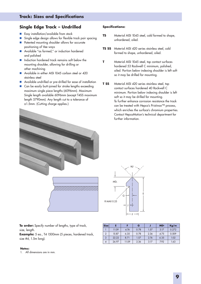## **Single Edge Track – Undrilled**

- **Easy installation/available from stock**
- Single edge design allows for flexible track pair spacing
- **Patented mounting shoulder allows for accurate** positioning of Vee ways
- Available "as formed," or induction hardened and polished
- **Induction hardened track remains soft below the** mounting shoulder, allowing for drilling or other machining
- Available in either AISI 1045 carbon steel or 420 stainless steel
- Available undrilled or pre-drilled for ease of installation
- Can be easily butt-joined for stroke lengths exceeding maximum single piece lengths (6096mm). Maximum Single length available 6096mm (except T4SS maximum length 5790mm). Any length cut to a tolerance of ±1.5mm. (Cutting charge applies.)

#### **Specifications:**

- **TS** Material AISI 1045 steel, cold formed to shape, unhardened, oiled.
- **TS SS** Material AISI 420 series stainless steel, cold formed to shape, unhardened, oiled.
- **T** Material AISI 1045 steel, top contact surfaces hardened 53 Rockwell C minimum, polished, oiled. Portion below indexing shoulder is left soft so it may be drilled for mounting.
- **T SS** Material AISI 420 series stainless steel, top contact surfaces hardened 40 Rockwell C minimum. Portion below indexing shoulder is left soft so it may be drilled for mounting. To further enhance corrosion resistance the track can be treated with Hepco's Pristinox™ process, which enriches the surface's chromium properties. Contact HepcoMotion's technical department for further information.





 $\overline{\phantom{a}}$ 

**To order:** Specify number of lengths, type of track, size, length.

**Example:** 5 ea., T4 1500mm (5 pieces, hardened track, size #4, 1.5m long).

#### **Notes:**

1. All dimensions are in mm.

| <b>Size</b>    |       |       | G    |      | <b>MD</b> T | Kg/m  |
|----------------|-------|-------|------|------|-------------|-------|
|                | 11.09 | 4.74  | 0.78 | 1.57 | 3.17        | 0.272 |
| $\overline{2}$ | 15.87 | 6.35  | 0.78 | 2.36 | 4.75        | 0.509 |
| 3              | 22.22 | 8.71  | 1.57 | 2.76 | 6.35        | 1.02  |
| $\overline{4}$ | 26.97 | 11.09 | 2.36 | 3.17 | 7.92        | 1.63  |
|                |       |       |      |      |             |       |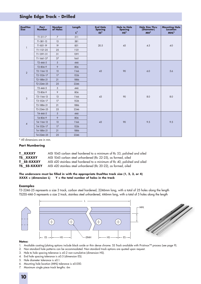## **Single Edge Track - Drilled**

| <b>DualVee</b><br><b>Size</b> | Part<br><b>Number</b> | <b>Number</b><br>of Holes | Length<br>$L^7$ | <b>End Hole</b><br><b>Spacing</b><br>ES <sup>4</sup> | <b>Hole to Hole</b><br><b>Spacing</b><br>HS <sup>3</sup> | <b>Hole Size Thru</b><br>(Diameter)<br>MH <sup>5</sup> | <b>Mounting Hole</b><br>Location<br><b>MHL<sup>6</sup></b> |
|-------------------------------|-----------------------|---------------------------|-----------------|------------------------------------------------------|----------------------------------------------------------|--------------------------------------------------------|------------------------------------------------------------|
|                               | $T1-311-7$            | $\overline{7}$            | 311             |                                                      |                                                          |                                                        |                                                            |
|                               | $T1-581-13$           | 13                        | 581             |                                                      |                                                          |                                                        |                                                            |
| $\mathbf{1}$                  | T1-851-19             | 19                        | 851             | 20.5                                                 | 45                                                       | 4.5                                                    | 4.0                                                        |
|                               | T1-1121-25            | 25                        | 1121            |                                                      |                                                          |                                                        |                                                            |
|                               | T1-1391-31            | 31                        | 1391            |                                                      |                                                          |                                                        |                                                            |
|                               | T1-1661-37            | 37                        | 1661            |                                                      |                                                          |                                                        |                                                            |
|                               | $T2 - 446 - 5$        | 5                         | 446             |                                                      |                                                          |                                                        |                                                            |
|                               | T2-806-9              | 9                         | 806             |                                                      |                                                          |                                                        |                                                            |
| $\overline{2}$                | T2-1166-13            | 13                        | 1166            | 43                                                   | 90                                                       | 6.0                                                    | 5.6                                                        |
|                               | T2-1526-17            | 17                        | 1526            |                                                      |                                                          |                                                        |                                                            |
|                               | T2-1886-21            | 21                        | 1886            |                                                      |                                                          |                                                        |                                                            |
|                               | T2-2246-25            | 25                        | 2246            |                                                      |                                                          |                                                        |                                                            |
|                               | $T3 - 446 - 5$        | 5                         | 446             |                                                      |                                                          |                                                        |                                                            |
|                               | T3-806-9              | 9                         | 806             |                                                      |                                                          |                                                        |                                                            |
| $\mathfrak{Z}$                | T3-1166-13            | 13                        | 1166            | 43                                                   | 90                                                       | 8.0                                                    | 8.0                                                        |
|                               | T3-1526-17            | 17                        | 1526            |                                                      |                                                          |                                                        |                                                            |
|                               | T3-1886-21            | 21                        | 1886            |                                                      |                                                          |                                                        |                                                            |
|                               | T3-2246-25            | 25                        | 2246            |                                                      |                                                          |                                                        |                                                            |
|                               | T4-446-5              | 5                         | 446             |                                                      |                                                          |                                                        |                                                            |
|                               | T4-806-9              | 9                         | 806             |                                                      |                                                          |                                                        |                                                            |
| $\pmb{4}$                     | T4-1166-13            | 13                        | 1166            | 43                                                   | 90                                                       | 9.5                                                    | 9.5                                                        |
|                               | T4-1526-17            | 17                        | 1526            |                                                      |                                                          |                                                        |                                                            |
|                               | T4-1886-21            | 21                        | 1886            |                                                      |                                                          |                                                        |                                                            |
|                               | T4-2246-25            | 25                        | 2246            |                                                      |                                                          |                                                        |                                                            |

\* All dimensions are in mm.

#### **Part Numbering**

| <b>T XXXXY</b>    | AISI 1045 carbon steel hardened to a minimum of Rc 53, polished and oiled   |
|-------------------|-----------------------------------------------------------------------------|
| <b>TS XXXXY</b>   | AISI 1045 carbon steel unhardened (Rc 22-25), as formed, oiled              |
| <b>T SS-XXXXY</b> | AISI 420 stainless steel hardened to a minimum of Rc 40, polished and oiled |
| TS SS-XXXXY       | AISI 420 stainless steel unhardened (Rc 20-22), as formed, oiled            |

#### **The underscore must be filled in with the appropriate DualVee track size (1, 2, 3, or 4) XXXX = (dimension L) Y = the total number of holes in the track**

#### **Examples**

T3-2246-25 represents a size 3 track, carbon steel hardened, 2246mm long, with a total of 25 holes along the length TS2SS-446-5 represents a size 2 track, stainless steel unhardened, 446mm long, with a total of 5 holes along the length



- 1. Available coating/plating options include black oxide or thin dense chrome. SS Track available with Pristinox™ process (see page 9).
- 2. Non-standard hole patterns can be accommodated. Non-standard track options are quoted upon request.
- 3. Hole to hole spacing tolerance is ±0.2 non-cumulative (dimension HS).
- 4. End hole spacing tolerance is ±0.5 (dimension ES).
- 5. Hole diameter tolerance is ±0.1.
- 6. Mounting hole location (MHL) tolerance is ±0.050.
- 7. Maximum single piece track lengths: 6m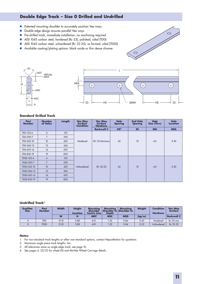## **Double Edge Track – Size 0 Drilled and Undrilled**

- **Patented mounting shoulder to accurately position Vee ways**
- Double edge design ensures parallel Vee ways
- **Pre-drilled track, immediate installation, no machining required**
- AISI 1045 carbon steel, hardened (Rc 53), polished, oiled (TD0)
- AISI 1045 carbon steel, unhardened (Rc 22-25), as formed, oiled (TDS0)
- Available coating/plating options: black oxide or thin dense chrome





#### **Standard Drilled Track**

| Part<br><b>Number</b> | <b>Number</b><br>of Holes | Length | <b>Vee Way</b><br><b>Surface</b><br><b>Condition</b> | <b>Vee Way</b><br><b>Surface</b><br><b>Hardness</b> | <b>Hole</b><br><b>Spacing</b> | <b>End Hole</b><br><b>Spacing</b> | <b>Hole</b><br>Size (Thru) | Hole<br>Location |
|-----------------------|---------------------------|--------|------------------------------------------------------|-----------------------------------------------------|-------------------------------|-----------------------------------|----------------------------|------------------|
|                       |                           |        |                                                      | <b>Rockwell C</b>                                   | HS <sup>2</sup>               | <b>ES</b>                         | <b>MH</b>                  | <b>MHL</b>       |
| TD0-155-4             | $\overline{4}$            | 155    |                                                      |                                                     |                               |                                   |                            |                  |
| TD0-290-7             | $\overline{7}$            | 290    |                                                      |                                                     |                               |                                   |                            |                  |
| TD0-425-10            | 10 <sup>°</sup>           | 425    | Hardened                                             | RC 53 Minimum                                       | 45                            | 10                                | 4.0                        | 3.50             |
| TD0-560-13            | 13                        | 560    |                                                      |                                                     |                               |                                   |                            |                  |
| TD0-695-16            | 16                        | 695    |                                                      |                                                     |                               |                                   |                            |                  |
| TD0-830-19            | 19                        | 830    |                                                      |                                                     |                               |                                   |                            |                  |
| TDS0-155-4            | $\overline{4}$            | 155    |                                                      |                                                     |                               |                                   |                            |                  |
| TDS0-290-7            | $\overline{7}$            | 290    |                                                      |                                                     |                               |                                   |                            |                  |
| TDS0-425-10           | 10 <sup>°</sup>           | 425    | Unhardened                                           | RC 22-25                                            | 45                            | 10                                | 4.0                        | 3.50             |
| TDS0-560-13           | 13                        | 560    |                                                      |                                                     |                               |                                   |                            |                  |
| TDS0-695-16           | 16                        | 695    |                                                      |                                                     |                               |                                   |                            |                  |
| TDS0-830-19           | 19                        | 830    |                                                      |                                                     |                               |                                   |                            |                  |

#### **Undrilled Track<sup>2</sup>**

| <b>DualVee</b><br><b>Size</b> | Part<br><b>Number</b> | <b>Width</b> | <b>Height</b><br>Location | Mountina<br>Shoulder<br>Centre Line | <b>Mountina</b><br><b>Depth</b> | Mountina<br>Shoulder to Shoulder to | Weight | <b>Condition</b><br><b>Hardness</b> | <b>Vee Way</b><br><b>Surface</b> |
|-------------------------------|-----------------------|--------------|---------------------------|-------------------------------------|---------------------------------|-------------------------------------|--------|-------------------------------------|----------------------------------|
|                               |                       | W            | н                         | <b>MDT</b>                          | <b>MSC</b>                      | <b>MSD</b>                          | (kg/m) |                                     | <b>Rockwell C</b>                |
|                               | TD <sub>0</sub>       | 13.10        | 3.88                      | 4.01                                | .52                             | 0.84                                | 0.25   | Hardened                            | Rc 53 min                        |
|                               | <b>TDSO</b>           | 13.10        | 3.88                      | 4.01                                | .52                             | 0.84                                | 0.25   | Unhardened                          | Rc 22-25                         |

- 1. For non-standard track lengths or other non-standard options, contact HepcoMotion for quotation.
- 2. Maximum single piece track lengths: 6m.
- 3. All tolerances same as single edge track, see page 10.
- 4. See pages 4, 22/23 for wheel (0) and MinVee Wheel Carriage details.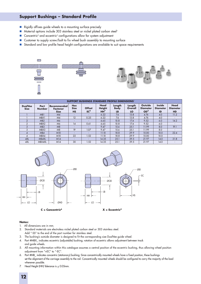## **Support Bushings – Standard Profile**

- Rigidly affixes guide wheels to a mounting surface precisely
- Material options include 303 stainless steel or nickel plated carbon steel<sup>2</sup>
- Concentric<sup>6</sup> and eccentric<sup>4</sup> configurations allow for system adjustment
- Customer to supply screw/bolt to fix wheel bush assembly to mounting surface
- Standard and low profile head height configurations are available to suit space requirements



|                               | <b>SUPPORT BUSHINGS STANDARD PROFILE DIMENSIONS'</b> |                                               |                                        |                                  |                                          |                             |                         |                                                      |                                        |                                             |  |  |
|-------------------------------|------------------------------------------------------|-----------------------------------------------|----------------------------------------|----------------------------------|------------------------------------------|-----------------------------|-------------------------|------------------------------------------------------|----------------------------------------|---------------------------------------------|--|--|
| <b>DualVee</b><br><b>Size</b> | Part<br><b>Number</b>                                | Recommended<br><b>Fastener</b><br><b>Size</b> | <b>Hex</b><br><b>Size</b><br><b>HS</b> | <b>Offset</b><br>EC <sup>5</sup> | Head<br><b>Height</b><br>HH <sup>7</sup> | Length<br><b>Body</b><br>LB | Length<br>Overall<br>LO | <b>Outside</b><br><b>Diameter</b><br>OD <sup>3</sup> | <b>Inside</b><br><b>Diameter</b><br>ID | <b>Head</b><br><b>Diameter</b><br><b>HD</b> |  |  |
|                               | MB <sub>1</sub>                                      | M4                                            |                                        |                                  | 6.22                                     | 7.6                         | 13.8                    | 4.76                                                 | 4.0                                    | 11.2                                        |  |  |
|                               | MBX1                                                 | M4                                            | 12                                     | 0.25                             | 6.22                                     | 7.6                         | 13.8                    | 4.76                                                 | 4.0                                    |                                             |  |  |
|                               | MB <sub>2</sub>                                      | M6                                            |                                        | $\sim$                           | 6.65                                     | 10.8                        | 17.4                    | 9.52                                                 | 6.0                                    | 14.2                                        |  |  |
| $\Omega$                      | MBX2                                                 | M6                                            | 14                                     | 0.61                             | 6.65                                     | 10.8                        | 17.4                    | 9.52                                                 | 6.0                                    |                                             |  |  |
| 3                             | MB <sub>3</sub>                                      | M8                                            | ۰                                      | ٠                                | 9.47                                     | 15.6                        | 25.1                    | 11.99                                                | 8.0                                    | 19.1                                        |  |  |
| 3                             | MBX3                                                 | M8                                            | 19                                     | 1.07                             | 9.47                                     | 15.6                        | 25.1                    | 11.99                                                | 8.0                                    |                                             |  |  |
|                               | MB4                                                  | <b>M10</b>                                    | ۰                                      | $\sim$                           | 11.10                                    | 18.8                        | 29.9                    | 15.00                                                | 10.0                                   | 22.4                                        |  |  |
| 4                             | MBX4                                                 | M <sub>10</sub>                               | 22                                     | 1.52                             | 11.10                                    | 18.8                        | 29.9                    | 15.00                                                | 10.0                                   |                                             |  |  |
| 4XL                           | MB4XL                                                | M14                                           | ۰                                      | $\sim$                           | 14.35                                    | 25.1                        | 39.5                    | 21.97                                                | 14.0                                   | 31.8                                        |  |  |
| 4XL                           | MBX4XL                                               | M14                                           | 30                                     | 1.52                             | 14.35                                    | 25.1                        | 39.5                    | 21.97                                                | 14.0                                   |                                             |  |  |



- 1. All dimensions are in mm.
- 2. Standard materials are electroless nickel plated carbon steel or 303 stainless steel. Add "-SS" to the end of the part number for stainless steel.
- 3. The bushing's outside diameter is designed to fit the corresponding size DualVee guide wheel.
- 4. Part #MBX\_ indicates eccentric (adjustable) bushing; rotation of eccentric allows adjustment between track and guide wheels.
- 5. All mounting information within this catalogue assumes a central position of the eccentric bushing, thus allowing wheel position adjustment from "+EC" to "-EC".
- 6. Part #MB\_ indicates concentric (stationary) bushing; Since concentrically mounted wheels have a fixed position, these bushings set the alignment of the carriage assembly to the rail. Concentrically mounted wheels should be configured to carry the majority of the load whenever possible.
- 7. Head Height (HH) Tolerance is + 0.05mm.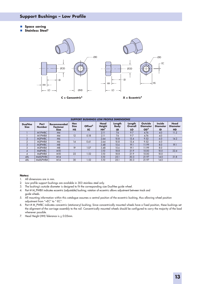## **Support Bushings – Low Profile**

- **Space saving**
- **Stainless Steel<sup>2</sup>**



**Part Number** M1PWBC M1PWBX M2PWBC M2PWBX M3PWBC M3PWBX M4PWBC M4PWBX M4XLPWBC M4XLPWBX **SUPPORT BUSHINGS LOW PROFILE DIMENSIONS1 Hex Size HS** - 12 - 14 - 19 - 22 - 30 **Offset<sup>5</sup> EC** - 0.18 - 0.61 - 1.07 - 1.52 - 1.52 **Head Height HH<sup>7</sup>** 2.11 2.11 2.64 2.64 3.48 3.48 3.10 3.10 5.10 5.10 **Length Body LB** 7.6 7.6 10.8 10.8 15.6 15.6 18.8 18.8 25.1 25.1 **Length Overall LO** 9.7 9.7 13.4 13.4 19.1 19.1 21.9 21.9 30.3 30.3 **Recommended Fastener Size** M4 M4 M6 M6 M8 M8 M10 M10 M14 M14 **DualVee Size** 1 1 2  $\overline{2}$ 3 3  $\overline{4}$ 4 4XL 4XL **Outside Diameter OD<sup>3</sup>** 4.76 4.76 9.52 9.52 11.99 11.99 15.00 15.00 21.97 21.97 **Inside Diameter ID** 4.0 4.0 6.0 6.0 8.0 8.0 10.0 10.0 14.0 14.0 **Head Diameter HD** 11.2 - 14.2 - 19.1 - 22.4 - 31.8 -

- 1. All dimensions are in mm.
- 2. Low profile support bushings are available in 303 stainless steel only.
- 3. The bushing's outside diameter is designed to fit the corresponding size DualVee guide wheel.
- 4. Part # M\_PWBX indicates eccentric (adjustable) bushing; rotation of eccentric allows adjustment between track and guide wheels.
- 5. All mounting information within this catalogue assumes a central position of the eccentric bushing, thus allowing wheel position adjustment from "+EC" to "-EC".
- 6. Part # M\_PWBC indicates concentric (stationary) bushing; Since concentrically mounted wheels have a fixed position, these bushings set the alignment of the carriage assembly to the rail. Concentrically mounted wheels should be configured to carry the majority of the load whenever possible.
- 7. Head Height (HH) Tolerance is  $\pm$  0.05mm.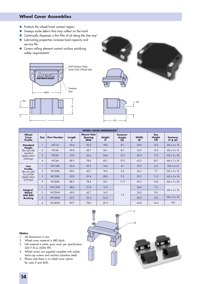## **Wheel Cover Assemblies**

- Protects the wheel/track contact region
- Sweeps aside debris that may collect on the track
- Continually dispenses a thin film of oil along the Vee way<sup>3</sup>
- **Lubricating properties increase load capacity and** service life
- Covers rolling element contact surface satisfying safety requirements<sup>2</sup>









|                                                                          | <b>WHEEL COVER DIMENSIONS<sup>1</sup></b> |                    |        |                                                   |                    |                                               |                   |                                          |                                                             |  |  |  |
|--------------------------------------------------------------------------|-------------------------------------------|--------------------|--------|---------------------------------------------------|--------------------|-----------------------------------------------|-------------------|------------------------------------------|-------------------------------------------------------------|--|--|--|
| Wheel<br>Cover<br><b>Profile</b>                                         | <b>Size</b>                               | <b>Part Number</b> | Length | <b>Mount Hole</b><br><b>Spacing</b><br><b>MHS</b> | <b>Height</b><br>н | <b>Fastener</b><br><b>Height</b><br><b>FH</b> | <b>Width</b><br>W | <b>Vee</b><br><b>Height</b><br><b>VH</b> | <b>Fastener</b><br><b>S<sup>4</sup> &amp; W<sup>4</sup></b> |  |  |  |
| <b>Standard</b>                                                          |                                           | <b>WC1A</b>        | 35.6   | 30.5                                              | 18.0               | 8.1                                           | 22.9              | 10.3                                     | $M2 \times 4 \times 12$                                     |  |  |  |
| <b>Height</b><br>(for use with<br>standard<br>height metric<br>bushings) | $\overline{2}$                            | WC <sub>2</sub> A  | 50.8   | 42.7                                              | 24.1               | 10.1                                          | 34.3              | 12.2                                     | $M3 \times 5 \times 16$                                     |  |  |  |
|                                                                          | 3                                         | WC3A               | 67.8   | 59.4                                              | 34.0               | 15.3                                          | 50.2              | 17.5                                     | $M3 \times 5 \times 20$                                     |  |  |  |
|                                                                          | 4                                         | WC4A               | 88.9   | 78.0                                              | 40.1               | 19.3                                          | 63.5              | 20.7                                     | $M4 \times 7 \times 25$                                     |  |  |  |
| Low                                                                      |                                           | <b>WC1LPA</b>      | 35.6   | 30.5                                              | 14.0               | 4.1                                           | 22.9              | 6.3                                      | $M2 \times 4 \times 8$                                      |  |  |  |
| <b>Profile</b><br>(for use with                                          | $\overline{2}$                            | WC2LPA             | 50.8   | 42.7                                              | 19.6               | 5.6                                           | 34.3              | 7.7                                      | $M3 \times 5 \times 12$                                     |  |  |  |
| low profile<br>height metric                                             | 3                                         | <b>WC3LPA</b>      | 67.8   | 59.4                                              | 28.0               | 9.3                                           | 50.2              | 11.5                                     | $M3 \times 5 \times 16$                                     |  |  |  |
| bushings)                                                                | 4                                         | WC4LPA             | 88.9   | 78.0                                              | 32.1               | 11.3                                          | 63.5              | 12.6                                     | $M4 \times 7 \times 20$                                     |  |  |  |
|                                                                          |                                           | <b>WC1SWI</b>      | 38.0   | 31.8                                              | 13.3               |                                               | 24.4              | 7.3                                      |                                                             |  |  |  |
| Integral<br>Wheel<br><b>SWI BWI</b><br><b>Bushing</b>                    | $\overline{2}$                            | WC2SWI             | 49.8   | 42.7                                              | 16.9               | 1.4                                           | 34.2              | 9.6                                      | $M3 \times 5 \times 10$                                     |  |  |  |
|                                                                          | 3                                         | WC3SWI             | 67.3   | 59.4                                              | 23.2               |                                               | 50.0              | 13.6                                     | $M3 \times 5 \times 10$                                     |  |  |  |
|                                                                          | 4                                         | WC4SWI             | 87.9   | 78.0                                              | 29.3               |                                               | 64.8              | 16.4                                     | M4                                                          |  |  |  |

- 1. All dimensions in mm.
- 2. Wheel cover material is ABS black.
- 3. Felt material is white, pure wool, per specification SAE F-10 or ASTM 9R1.
- 4. Wheel covers are supplied complete with socket head cap screws and washers (stainless steel).
- 5. Please note there is no wheel cover option for sizes 0 and 4XXL.

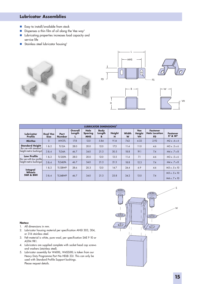## **Lubricator Assemblies**

- **Easy to install/available from stock**
- $\blacksquare$  Dispenses a thin film of oil along the Vee way<sup>3</sup>
- **Lubricating properties increases load capacity and** service life
- Stainless steel lubricator housing<sup>2</sup>





| <b>LUBRICATOR DIMENSIONS</b>                      |                                |                       |                   |                                      |                            |                    |                   |                                          |                                                      |                                                             |
|---------------------------------------------------|--------------------------------|-----------------------|-------------------|--------------------------------------|----------------------------|--------------------|-------------------|------------------------------------------|------------------------------------------------------|-------------------------------------------------------------|
| Lubricator<br><b>Profile</b>                      | <b>Dual Vee</b><br><b>Size</b> | Part<br><b>Number</b> | Overall<br>Length | Hole<br><b>Spacing</b><br><b>MHS</b> | <b>Body</b><br>Length<br>в | <b>Height</b><br>н | <b>Width</b><br>W | <b>Vee</b><br><b>Height</b><br><b>VH</b> | <b>Fastener</b><br><b>Hole Location</b><br><b>FD</b> | <b>Fastener</b><br><b>S<sup>4</sup> &amp; W<sup>4</sup></b> |
| <b>MinVee</b>                                     | $\Omega$                       | <b>MVOTL</b>          | 17.8              | 12.0                                 | 5.84                       | 9.14               | 7.62              | 4.32                                     | 2.92                                                 | $M2 \times .4 \times 4$                                     |
| <b>Standard Height</b><br>(for use with standard) | 1 & 8 & 2                      | <b>TL12A</b>          | 28.0              | 20.0                                 | 12.0                       | 17.5               | 11.4              | 11.0                                     | 4.6                                                  | M3x.5x6                                                     |
| height metric bushings)                           | 384                            | TL34A                 | 46.7              | 34.0                                 | 21.3                       | 30.5               | 18.8              | 19.1                                     | 7.4                                                  | $M4 \times 7 \times 8$                                      |
| <b>Low Profile</b><br>(for use with low profile)  | 1 & 2                          | TL12LPA               | 28.0              | 20.0                                 | 12.0                       | 13.5               | 11.4              | 7.1                                      | 4.6                                                  | M3x.5x6                                                     |
| height metric bushings)                           | 384                            | TL34LPA               | 46.7              | 34.0                                 | 21.3                       | 21.3               | 18.8              | 12.3                                     | 7.4                                                  | $M4 \times 7 \times 8$                                      |
| Integral                                          | 82                             | TL12BWP               | 28.6              | 20.3                                 | 12.0                       | 14.7               | 24.4              | 6.9                                      | 4.6                                                  | $M3 \times .5 \times 10$                                    |
| <b>Wheels</b><br>SWI & BWI                        | 384                            | TL34BWP               | 46.7              | 34.0                                 | 21.3                       | 25.8               | 34.2              | 13.0                                     | 7.4                                                  | $M3 \times .5 \times 10$<br>$M4 \times 7 \times 10$         |

- 1. All dimensions in mm.
- 2. Lubricator housing material per specification ANSI 303, 304, or 316 stainless steel.
- 3. Felt material is white, pure wool, per specification SAE F-10 or ASTM 9R1.
- 4. Lubricators are supplied complete with socket head cap screws and washers (stainless steel).
- 5. Lubricator assembly for W4XXL, W4SSXXL is taken from our Heavy Duty Programme Part No HDLB 33J. This can only be used with Standard Profile Support bushings. Please request details.

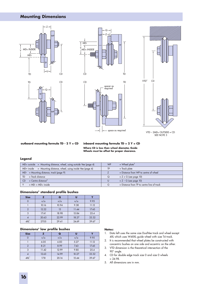## **Mounting Dimensions**









VTD – 2MDW OUTSIDE = CD SEE NOTE 3

**outboard mounting formula TD - 2 Y = CD inboard mounting formula TD + 2 Y = CD**

**Where CD is less than wheel diameter, Guide Wheels must be offset for proper clearance.**

#### **Legend**

| $MDw$ outside = Mounting distance, wheel, using outside Vee (page 4) | $=$ Wheel plate <sup>2</sup><br><b>WP</b>         |
|----------------------------------------------------------------------|---------------------------------------------------|
| $MDw$ inside = Mounting distance, wheel, using inside Vee (page 4)   | $=$ Track plate                                   |
| $MDT$ = Mounting distance, track (page 9)                            | = Distance from WP to centre of wheel             |
| $=$ Track distance<br>TD                                             | $= Z + G$ (see page 10)<br>$\Omega$               |
| $=$ Centre distance <sup>4</sup><br><b>CD</b>                        | $Z - G$ (see page 10)<br>U                        |
| $= MDT + MDW$ inside                                                 | $=$ Distance from TP to centre line of track<br>G |

| Dimensions <sup>5</sup> standard profile bushes |  |  |  |
|-------------------------------------------------|--|--|--|
|-------------------------------------------------|--|--|--|

| <b>Size</b> | z     | Θ     | U     |       |
|-------------|-------|-------|-------|-------|
|             | n/a   | n/a   | n/a   | 9.95  |
|             | 10.16 | 10.94 | 9.38  | 11.12 |
|             | 12.22 | 13    | 11.44 | 17.45 |
| 3           | 17.41 | 18.98 | 15.84 | 25.4  |
|             | 20.63 | 22.99 | 18.27 | 33.32 |
| 4XL         | 27.05 | 29.41 | 24.69 | 39.67 |

#### **Dimensions5 low profile bushes**

| <b>Size</b>        | 7     |       | П     |       |
|--------------------|-------|-------|-------|-------|
|                    | n/a   | n/a   | n/a   | 9.95  |
|                    | 6.05  | 6.83  | 5.27  | 11.12 |
|                    | 8.21  | 8.99  | 7.43  | 17.45 |
| 3                  | 11.42 | 12.99 | 9.85  | 25.4  |
|                    | 12.63 | 14.99 | 10.27 | 33.32 |
| $4XL$ <sup>1</sup> | 17.8  | 20.16 | 15.44 | 39.67 |

- 1. Data left uses the same size DualVee track and wheel except 4XL which uses W4XXL guide wheel with size T4 track.
- 2. It is recommended that wheel plates be constructed with concentric bushes on one side and eccentric on the other.
- 3. VTD dimension is the theoretical intersection of the 90° angle.
- 4. CD for double edge track size 0 and size 0 wheels  $= 24.98.$
- 5. All dimensions are in mm.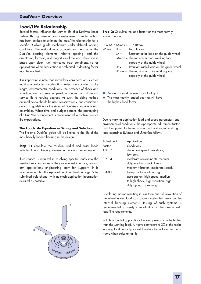## **DualVee – Overview**

#### **Load/Life Relationship**

Several factors influence the service life of a DualVee linear system. Through research and development a simple method has been devised to estimate the load/life relationship for a specific DualVee guide mechanism under defined loading conditions. The methodology accounts for the size of the DualVee bearing elements, relative spacing, and the orientation, location, and magnitude of the load. The curve is based upon clean, well lubricated track conditions, so for applications where lubrication is prohibited, a derating factor must be applied.

It is important to note that secondary considerations such as maximum velocity, acceleration rates, duty cycle, stroke length, environmental conditions, the presence of shock and vibration, and extreme temperature ranges can all impact service life to varying degrees. As such, the sizing method outlined below should be used conservatively, and considered only as a guideline for the sizing of DualVee components and assemblies. When time and budget permits, the prototyping of a DualVee arrangement is recommended to confirm service life expectations.

#### **The Load/Life Equation — Sizing and Selection**

The life of a DualVee guide will be limited to the life of the most heavily loaded bearing in the design.

**Step 1:** Calculate the resultant radial and axial loads reflected to each bearing element in the linear guide design.

If assistance is required in resolving specific loads into the resultant reaction forces at the guide wheel interface, contact our applications engineering staff for support. It is recommended that the Application Data Sheet on page 19 be submitted beforehand, with as much application information detailed as possible.

**Step 2:** Calculate the load factor for the most heavily loaded bearing.

|        | $LF = LA / LAmax + LR / LRmax$            |
|--------|-------------------------------------------|
|        | $LF =$ Load Factor                        |
| $LA =$ | Resultant axial load on the guide wheel   |
|        | LAmax = The maximum axial working load    |
|        | capacity of the guide wheel               |
| $LR =$ | Resultant radial load on the guide wheel  |
|        | $LRmax =$ The maximum radial working load |
|        | capacity of the guide wheel               |
|        |                                           |

- Bearings should be sized such that  $L_F \le 1$ <br>Bearing will have not beavily loaded bearing will have
- The most heavily loaded bearing will have the highest load factor

Due to varying application load and speed parameters and environmental conditions, the appropriate adjustment factor must be applied to the maximum axial and radial working load capacities (LAmax and LRmax)as follows:

| Application                         |
|-------------------------------------|
| Conditions                          |
| clean, low speed, low shock,        |
| low duty.                           |
| moderate contaminants, medium       |
| duty, medium shock, low to          |
| medium vibration, moderate speed.   |
| heavy contamination, high           |
| acceleration, high speed, medium    |
| to high shock, high vibration, high |
| duty cycle, dry running.            |
|                                     |

Oscillating motion resulting in less than one full revolution of the wheel under load can cause accelerated wear on the internal bearing elements. Testing of such systems is recommended to verify compatibility of the design with load/life requirements.

In lightly loaded applications bearing preload can be higher than the working load. A figure equivalent to 3% of the radial working load capacity should therefore be included in the LR figure when calculating life.

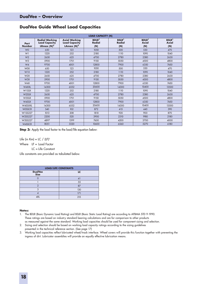## **DualVee Guide Wheel Load Capacities**

| <b>LOAD CAPACITY (N)</b> |                                                                |                                                               |                                                  |                                     |                                                 |                                    |  |
|--------------------------|----------------------------------------------------------------|---------------------------------------------------------------|--------------------------------------------------|-------------------------------------|-------------------------------------------------|------------------------------------|--|
| Part<br><b>Number</b>    | <b>Radial Working</b><br><b>Load Capacity</b><br>LRmax $(N)^2$ | <b>Axial Working</b><br><b>Load Capacity</b><br>LAmax $(N)^2$ | <b>BDLR</b> <sup>1</sup><br><b>Radial</b><br>(N) | <b>BSLR</b><br><b>Radial</b><br>(N) | <b>BDLR</b> <sup>1</sup><br><b>Axial</b><br>(N) | <b>BSLR</b><br><b>Axial</b><br>(N) |  |
| W <sub>0</sub>           | 650                                                            | 123                                                           | 1050                                             | 500                                 | 530                                             | 470                                |  |
| W1                       | 1220                                                           | 252                                                           | 2180                                             | 1110                                | 1090                                            | 1040                               |  |
| W <sub>2</sub>           | 2650                                                           | 625                                                           | 4700                                             | 2780                                | 2380                                            | 2630                               |  |
| W <sub>3</sub>           | 5900                                                           | 1701                                                          | 9150                                             | 5050                                | 4500                                            | 4800                               |  |
| W4                       | 9700                                                           | 4001                                                          | 12800                                            | 7900                                | 6350                                            | 7450                               |  |
| <b>WOX</b>               | 650                                                            | 123                                                           | 1050                                             | 500                                 | 530                                             | 470                                |  |
| W <sub>1X</sub>          | 1220                                                           | 252                                                           | 2180                                             | 1110                                | 1090                                            | 1040                               |  |
| W2X                      | 2650                                                           | 625                                                           | 4700                                             | 2780                                | 2380                                            | 2630                               |  |
| W3X                      | 5900                                                           | 1701                                                          | 9150                                             | 5050                                | 4500                                            | 4800                               |  |
| W4X                      | 9700                                                           | 4001                                                          | 12800                                            | 7900                                | 6350                                            | 7450                               |  |
| W4XXL                    | 14300                                                          | 6552                                                          | 20600                                            | 14300                               | 10400                                           | 13500                              |  |
| W1SSX                    | 1220                                                           | 252                                                           | 2180                                             | 1110                                | 1090                                            | 1040                               |  |
| W2SSX                    | 2650                                                           | 625                                                           | 4700                                             | 2780                                | 2380                                            | 2630                               |  |
| W3SSX                    | 5900                                                           | 1701                                                          | 9150                                             | 5050                                | 4500                                            | 4800                               |  |
| W4SSX                    | 9700                                                           | 4001                                                          | 12800                                            | 7900                                | 6350                                            | 7450                               |  |
| W4SSXXL                  | 14300                                                          | 6552                                                          | 20600                                            | 14300                               | 10400                                           | 13500                              |  |
| <b>WOSSCR</b>            | 540                                                            | 102                                                           | 872                                              | 415                                 | 440                                             | 390                                |  |
| W1SS227                  | 1013                                                           | 208                                                           | 1810                                             | 920                                 | 900                                             | 870                                |  |
| W2SS227                  | 2200                                                           | 520                                                           | 3900                                             | 2310                                | 1980                                            | 2180                               |  |
| W3SS227                  | 4897                                                           | 1399                                                          | 7600                                             | 4200                                | 3700                                            | 4000                               |  |
| W4SSCR                   | 8051                                                           | 3320                                                          | 10600                                            | 6560                                | 5270                                            | 6180                               |  |

**Step 3:** Apply the load factor to the load/life equation below:

Life (in  $Km$ ) = LC / (LF)<sup>3</sup>

Where LF = Load Factor

LC = Life Constant

Life constants are provided as tabulated below.

| <b>LOAD/LIFE CONSTANTS</b>    |     |  |  |  |
|-------------------------------|-----|--|--|--|
| <b>DualVee</b><br><b>Size</b> | LC  |  |  |  |
|                               | 41  |  |  |  |
|                               | 55  |  |  |  |
|                               | 87  |  |  |  |
| ર                             | 130 |  |  |  |
|                               | 171 |  |  |  |
| <b>AXI</b>                    | 215 |  |  |  |

- 1. The BDLR (Basic Dynamic Load Rating) and BSLR (Basic Static Load Rating) are according to AFBMA STD 9-1990. These ratings are based on industry standard bearing calculations and are for comparison to other products as measured against the same standard. Working load capacities should be used for component sizing and selection.
- 2. Sizing and selection should be based on working load capacity ratings according to the sizing guidelines presented in the technical reference section. (See page 17)
- 3. Working load capacities reflect lubricated wheel/track interface. Wheel covers will provide this function together with preventing the ingress of dirt. Lubricator assemblies will provide an equally effective lubrication means.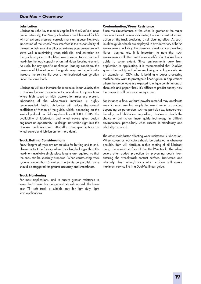## **DualVee – Overview**

#### **Lubrication**

Lubrication is the key to maximising the life of a DualVee linear guide. Internally, DualVee guide wheels are lubricated for life with an extreme pressure, corrosion resistant grease. However, lubrication of the wheel/track interface is the responsibility of the user. A light machine oil or an extreme pressure grease will serve well in minimising wear, stick slip, and corrosion on the guide ways in a DualVee-based design. Lubrication will maximise the load capacity of an individual bearing element. As such, for any specific application loading condition, the presence of lubrication on the guide ways will significantly increase the service life over a non-lubricated configuration under the same loads.

Lubrication will also increase the maximum linear velocity that a DualVee bearing arrangement can endure. In applications where high speed or high acceleration rates are present, lubrication of the wheel/track interface is highly recommended. Lastly, lubrication will reduce the overall coefficient of friction of the guide, which, depending on the level of preload, can fall anywhere from 0.008 to 0.015. The availability of lubricators and wheel covers gives design engineers an opportunity to design lubrication right into the DualVee mechanism with little effort. See specifications on wheel covers and lubricators for more detail.

#### **Track Butting Considerations**

Precut lengths of track are not suitable for butting end to end. Please contact the factory when track lengths longer than the maximum available single piece lengths are required, so that the ends can be specially prepared. When constructing track systems longer than 6 metres, the joints on parallel tracks should be staggered for greater accuracy and smoothness.

#### **Track Hardening**

For most applications, and to ensure greater resistance to wear, the 'T' series hard edge track should be used. The lower cost 'TS' soft track is suitable only for light duty, light load applications.

#### **Contamination/Wear Resistance**

Since the circumference of the wheel is greater at the major diameter than at the minor diameter, there is a constant wiping action on the track producing a self cleaning effect. As such, DualVee guide wheels are employed in a wide variety of harsh environments, including the presence of metal chips, powders, fibres, slurries, etc. It is important to note that such environments will often limit the service life of a DualVee linear guide to some extent. Since environments vary from application to application, it is recommended that DualVee systems be prototyped before employing on a large scale. As an example, an OEM who is building a paper processing machine may want to prototype a linear guide in applications where the guide ways are exposed to unique combinations of chemicals and paper fibres. It's difficult to predict exactly how the materials will behave in many cases.

For instance a fine, yet hard powder material may accelerate wear in one case but simply be swept aside in another, depending on parameters such as particle size, temperature, humidity, and lubrication. Regardless, DualVee is clearly the choice of antifriction linear guide technology in difficult environments, particularly when success is mandatory and reliability is critical.

The other main factor affecting wear resistance is lubrication. Wheel covers or lubricators should be designed in whenever possible. Both will distribute a thin coating of oil lubricant along the contact surface of the DualVee track. The wheel covers offer added protection by preventing debris from entering the wheel/track contact surface. Lubricated and relatively clean wheel/track contact surfaces will ensure maximum service life in a DualVee linear guide.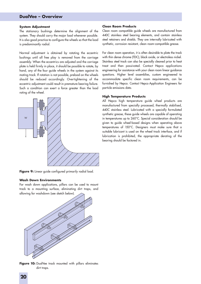## **DualVee – Overview**

#### **System Adjustment**

The stationary bushings determine the alignment of the system. They should carry the major load whenever possible. It is also good practice to configure the wheels so that the load is predominantly radial.

Normal adjustment is obtained by rotating the eccentric bushings until all free play is removed from the carriage assembly. When the eccentrics are adjusted and the carriage plate is held firmly in place, it should be possible to rotate, by hand, any of the four guide wheels in the system against its mating track. If rotation is not possible, preload on the wheels should be reduced accordingly. Overtightening of the eccentric adjustment could result in premature bearing failure. Such a condition can exert a force greater than the load rating of the wheel.



Figure 9: Linear guide configured primarily radial load.

#### **Wash Down Environments**

For wash down applications, pillars can be used to mount track to a mounting surface, eliminating dirt traps, and allowing for washdown (see sketch below).



**Figure 10:** DualVee track mounted with pillars eliminates dirt traps.

#### **Clean Room Products**

Clean room compatible guide wheels are manufactured from 440C stainless steel bearing elements, and contain stainless steel retainers and shields. They are internally lubricated with synthetic, corrosion resistant, clean room-compatible grease.

For clean room operation, it is often desirable to plate the track with thin dense chrome (TDC), black oxide, or electroless nickel. Stainless steel track can also be specially cleaned prior to heat treat and then passivated. Contact Hepco applications engineering for assistance with your clean room linear guidance questions. Higher level assemblies, custom engineered to accommodate specific clean room requirements, can be furnished by Hepco. Contact Hepco Application Engineers for particle emissions data.

#### **High Temperature Products**

All Hepco high temperature guide wheel products are manufactured from specially processed, thermally stabilised, 440C stainless steel. Lubricated with a specially formulated synthetic grease, these guide wheels are capable of operating in temperatures up to 260°C. Special consideration should be given to guide wheel-based designs when operating above temperatures of 150°C. Designers must make sure that a suitable lubricant is used on the wheel track interface, and if lubrication is prohibited, the appropriate derating of the bearing should be factored in.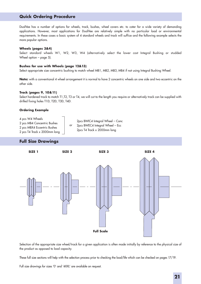## **Quick Ordering Procedure**

DualVee has a number of options for wheels, track, bushes, wheel covers etc. to cater for a wide variety of demanding applications. However, most applications for DualVee are relatively simple with no particular load or environmental requirements. In these cases a basic system of 4 standard wheels and track will suffice and the following example selects the more popular options.

#### **Wheels (pages 3&4)**

Select standard wheels W1, W2, W3, W4 (alternatively select the lower cost Integral Bushing or studded Wheel option – page 5).

#### **Bushes for use with Wheels (page 12&13)**

Select appropriate size concentric bushing to match wheel MB1, MB2, MB3, MB4 if not using Integral Bushing Wheel.

**Note:** with a conventional 4 wheel arrangement it is normal to have 2 concentric wheels on one side and two eccentric on the other side.

#### **Track (pages 9, 10&11)**

Select hardened track to match T1,T2, T3 or T4, we will cut to the length you require or alternatively track can be supplied with drilled fixing holes T1D, T2D, T3D, T4D.

#### **Ordering Example**

#### **Full Size Drawings**



Selection of the appropriate size wheel/track for a given application is often made initially by reference to the physical size of the product as opposed to load capacity.

These full size sections will help with the selection process prior to checking the load/life which can be checked on pages 17/19.

Full size drawings for sizes '0' and '4XXL' are available on request.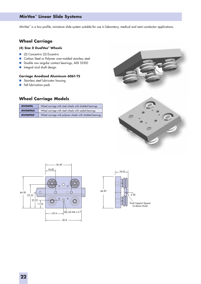## **MinVee™ Linear Slide Systems**

MinVee<sup>™</sup> is a low profile, miniature slide system suitable for use in laboratory, medical and semi-conductor applications.

## **Wheel Carriage**

### **(4) Size 0 DualVee® Wheels**

- (2) Concentric (2) Eccentric
- Carbon Steel or Polymer over-molded stainless steel
- Double row angular contact bearings, AISI 52100
- **Integral stud shaft design**

#### **Carriage Anodized Aluminum 6061-T5**

- Stainless steel lubricator housing
- Felt lubrication pads

## **Wheel Carriage Models**

| <b>MVOWPA</b>  | Wheel carriage with steel wheels with shielded bearings   |
|----------------|-----------------------------------------------------------|
| <b>MVOWPAX</b> | Wheel carriage with steel wheels with sealed bearings     |
| <b>MVOWPAP</b> | Wheel carriage with polymer wheels with shielded bearings |





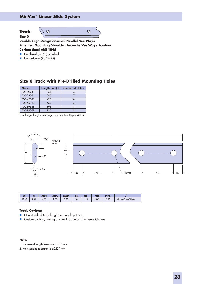## **MinVee™ Linear Slide System**

 $\mathcal{O}$ 

## **Track**





**Double Edge Design ensures Parallel Vee Ways Patented Mounting Shoulder, Accurate Vee Ways Position Carbon Steel AISI 1045**

- Hardened (Rc 53) polished
- Unhardened (Rc 22-25)

## **Size 0 Track with Pre-Drilled Mounting Holes**

| <b>Model</b> | Length (mm) L | <b>Number of Holes</b> |
|--------------|---------------|------------------------|
| TDO-155-4    | 155           |                        |
| TDO-290-7    | 290           |                        |
| TDO-425-10   | 425           | 10                     |
| TDO-560-13   | 560           | 13                     |
| TDO-695-16   | 695           | 16                     |
| TDO-830-19   | 830           |                        |

\*For longer lengths see page 12 or contact HepcoMotion.



| W                        | . .          | <b>MDT</b> | <b>MSC</b> | <b>MSD</b> | ES | HS <sup>2</sup> | <b>MH</b> | <b>MHL</b> |                    |
|--------------------------|--------------|------------|------------|------------|----|-----------------|-----------|------------|--------------------|
| $\overline{10}$<br>13.10 | າ ໑ດ<br>ده.د | 4.01       | 50<br>1.32 | 0.83       | 10 | 43              | 4.00      | 2.56       | Table<br>Mode Code |

### **Track Options:**

- Non standard track lengths optional up to 6m.
- Custom coating/plating are black oxide or Thin Dense Chrome.

- 1. The overall length tolerance is ±0.1 mm
- 2. Hole spacing tolerance is ±0.127 mm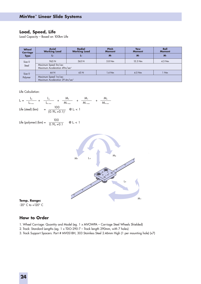### **Load, Speed, Life**

Load Capacity – Based on 100km Life

| Wheel<br>Carriage<br><b>Type</b> | Axial<br><b>Working Load</b>                                        | <b>Radial</b><br><b>Working Load</b> | <b>Pitch</b><br><b>Moment</b> | Yaw<br><b>Moment</b> | <b>Roll</b><br><b>Moment</b> |  |  |  |  |
|----------------------------------|---------------------------------------------------------------------|--------------------------------------|-------------------------------|----------------------|------------------------------|--|--|--|--|
|                                  | LA                                                                  | LR                                   | $M_{\rm P}$                   | $M_{Y}$              | $M_{R}$                      |  |  |  |  |
| Size 0<br>Steel                  | 965 N                                                               | 365 N                                | $5.8$ Nm                      | $15.3$ Nm            | $4.5$ Nm                     |  |  |  |  |
|                                  | Maximum Speed 5m/sec<br>Maximum Acceleration 49m/sec <sup>2</sup>   |                                      |                               |                      |                              |  |  |  |  |
| Size 0                           | 44 N                                                                | 65N                                  | $1.4$ Nm                      | $4.5$ Nm             | 1 Nm                         |  |  |  |  |
| Polymer                          | Maximum Speed 1m/sec<br>Maximum Acceleration 29.4m/sec <sup>2</sup> |                                      |                               |                      |                              |  |  |  |  |

Life Calculation:

 $L_f = \frac{-\pi}{1} + \frac{-\pi}{1} + \frac{-\pi}{1} + \frac{-\pi}{1} + \frac{-\pi}{1} + \frac{-\pi}{1}$ Life (steel) (km)  $=$   $\frac{1}{(2.81 \times 10^{13} \text{ eV})^3}$  @ L<sub>F</sub> < 1  $\mathsf{L}_{\mathsf{R}}$  $L_{\rm R\ max}$  $\mathsf{L}_\mathsf{A}$  $L_{A \text{ max}}$  $\mathsf{M}_\mathsf{P}$  $\mathsf{M}_{\scriptscriptstyle{\mathsf{P} \text{ max}}}$ 100  $(0.9$ L $_{\scriptscriptstyle \rm F}$  +0.1) $^{\scriptscriptstyle 3}$  $\mathsf{M}_{\mathsf{y}}$  $M_{Y \text{max}}$  $\mathsf{M}_{\scriptscriptstyle{\mathsf{R}}}$  $\mathsf{M}_{\scriptscriptstyle{\mathsf{R} \text{ }\mathsf{m}\mathsf{a}\mathsf{o}}}$ 

$$
Life (polymer) (km) = \frac{100}{0.9L_f + 0.1} \qquad \textcircled{t}_f < 1
$$



**Temp. Range:** -20° C to +120° C

## **How to Order**

- 1. Wheel Carriage: Quantity and Model (eg. 1 x MVOWPA Carriage Steel Wheels Shielded)
- 2. Track: Standard Lengths (eg. 1 x TDO-290-7 Track length 290mm, with 7 holes)
- 3. Track Support Spacers: Part # MV0S18H, 303 Stainless Steel 2.46mm High (1 per mounting hole) (x7)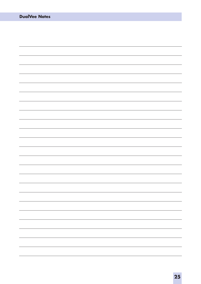| <b>DualVee Notes</b> |    |
|----------------------|----|
|                      |    |
|                      |    |
|                      |    |
|                      |    |
|                      |    |
|                      |    |
|                      |    |
|                      |    |
|                      |    |
|                      |    |
|                      |    |
|                      |    |
|                      |    |
|                      |    |
|                      |    |
|                      |    |
|                      |    |
|                      |    |
|                      | -  |
|                      |    |
|                      |    |
|                      | -- |
|                      | -- |
|                      |    |
|                      |    |
|                      |    |